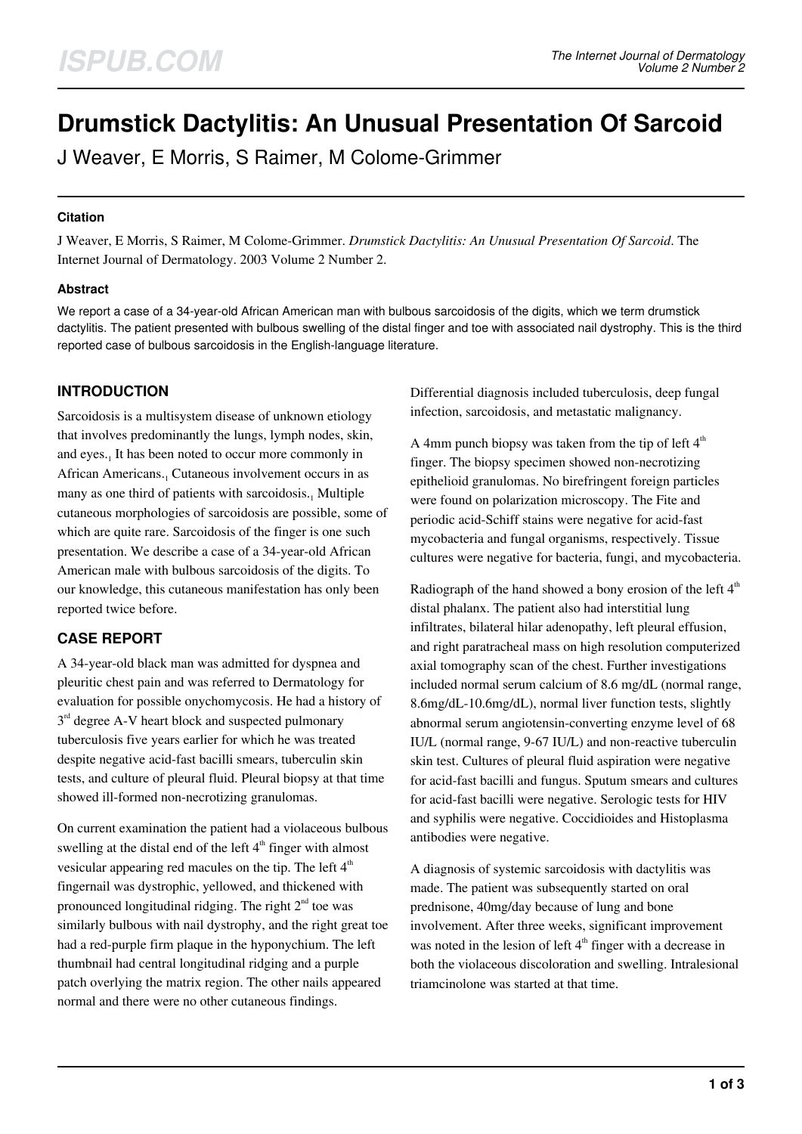# **Drumstick Dactylitis: An Unusual Presentation Of Sarcoid**

J Weaver, E Morris, S Raimer, M Colome-Grimmer

#### **Citation**

J Weaver, E Morris, S Raimer, M Colome-Grimmer. *Drumstick Dactylitis: An Unusual Presentation Of Sarcoid*. The Internet Journal of Dermatology. 2003 Volume 2 Number 2.

## **Abstract**

We report a case of a 34-year-old African American man with bulbous sarcoidosis of the digits, which we term drumstick dactylitis. The patient presented with bulbous swelling of the distal finger and toe with associated nail dystrophy. This is the third reported case of bulbous sarcoidosis in the English-language literature.

# **INTRODUCTION**

Sarcoidosis is a multisystem disease of unknown etiology that involves predominantly the lungs, lymph nodes, skin, and eyes.<sub>1</sub> It has been noted to occur more commonly in African Americans.<sub>1</sub> Cutaneous involvement occurs in as many as one third of patients with sarcoidosis.<sub>1</sub> Multiple cutaneous morphologies of sarcoidosis are possible, some of which are quite rare. Sarcoidosis of the finger is one such presentation. We describe a case of a 34-year-old African American male with bulbous sarcoidosis of the digits. To our knowledge, this cutaneous manifestation has only been reported twice before.

# **CASE REPORT**

A 34-year-old black man was admitted for dyspnea and pleuritic chest pain and was referred to Dermatology for evaluation for possible onychomycosis. He had a history of  $3<sup>rd</sup>$  degree A-V heart block and suspected pulmonary tuberculosis five years earlier for which he was treated despite negative acid-fast bacilli smears, tuberculin skin tests, and culture of pleural fluid. Pleural biopsy at that time showed ill-formed non-necrotizing granulomas.

On current examination the patient had a violaceous bulbous swelling at the distal end of the left  $4<sup>th</sup>$  finger with almost vesicular appearing red macules on the tip. The left  $4<sup>th</sup>$ fingernail was dystrophic, yellowed, and thickened with pronounced longitudinal ridging. The right  $2<sup>nd</sup>$  toe was similarly bulbous with nail dystrophy, and the right great toe had a red-purple firm plaque in the hyponychium. The left thumbnail had central longitudinal ridging and a purple patch overlying the matrix region. The other nails appeared normal and there were no other cutaneous findings.

Differential diagnosis included tuberculosis, deep fungal infection, sarcoidosis, and metastatic malignancy.

A 4mm punch biopsy was taken from the tip of left  $4<sup>th</sup>$ finger. The biopsy specimen showed non-necrotizing epithelioid granulomas. No birefringent foreign particles were found on polarization microscopy. The Fite and periodic acid-Schiff stains were negative for acid-fast mycobacteria and fungal organisms, respectively. Tissue cultures were negative for bacteria, fungi, and mycobacteria.

Radiograph of the hand showed a bony erosion of the left 4<sup>th</sup> distal phalanx. The patient also had interstitial lung infiltrates, bilateral hilar adenopathy, left pleural effusion, and right paratracheal mass on high resolution computerized axial tomography scan of the chest. Further investigations included normal serum calcium of 8.6 mg/dL (normal range, 8.6mg/dL-10.6mg/dL), normal liver function tests, slightly abnormal serum angiotensin-converting enzyme level of 68 IU/L (normal range, 9-67 IU/L) and non-reactive tuberculin skin test. Cultures of pleural fluid aspiration were negative for acid-fast bacilli and fungus. Sputum smears and cultures for acid-fast bacilli were negative. Serologic tests for HIV and syphilis were negative. Coccidioides and Histoplasma antibodies were negative.

A diagnosis of systemic sarcoidosis with dactylitis was made. The patient was subsequently started on oral prednisone, 40mg/day because of lung and bone involvement. After three weeks, significant improvement was noted in the lesion of left  $4<sup>th</sup>$  finger with a decrease in both the violaceous discoloration and swelling. Intralesional triamcinolone was started at that time.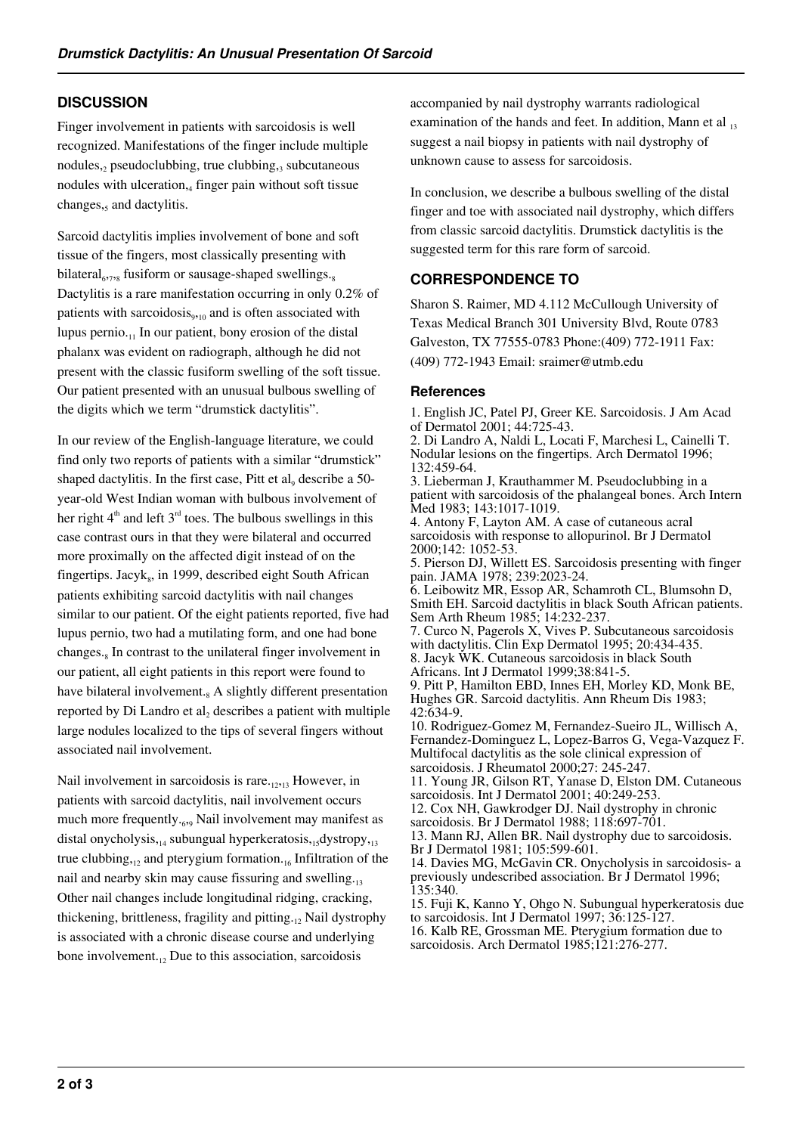## **DISCUSSION**

Finger involvement in patients with sarcoidosis is well recognized. Manifestations of the finger include multiple nodules, pseudoclubbing, true clubbing, subcutaneous nodules with ulceration, finger pain without soft tissue changes, and dactylitis.

Sarcoid dactylitis implies involvement of bone and soft tissue of the fingers, most classically presenting with bilateral<sub>6778</sub> fusiform or sausage-shaped swellings.<sub>8</sub> Dactylitis is a rare manifestation occurring in only 0.2% of patients with sarcoidosis<sub>9,10</sub> and is often associated with lupus pernio. $_{11}$  In our patient, bony erosion of the distal phalanx was evident on radiograph, although he did not present with the classic fusiform swelling of the soft tissue. Our patient presented with an unusual bulbous swelling of the digits which we term "drumstick dactylitis".

In our review of the English-language literature, we could find only two reports of patients with a similar "drumstick" shaped dactylitis. In the first case, Pitt et  $al_9$  describe a 50year-old West Indian woman with bulbous involvement of her right  $4<sup>th</sup>$  and left  $3<sup>rd</sup>$  toes. The bulbous swellings in this case contrast ours in that they were bilateral and occurred more proximally on the affected digit instead of on the fingertips. Jacyk<sub>s</sub>, in 1999, described eight South African patients exhibiting sarcoid dactylitis with nail changes similar to our patient. Of the eight patients reported, five had lupus pernio, two had a mutilating form, and one had bone changes.<sub>8</sub> In contrast to the unilateral finger involvement in our patient, all eight patients in this report were found to have bilateral involvement.<sub>8</sub> A slightly different presentation reported by Di Landro et  $al_2$  describes a patient with multiple large nodules localized to the tips of several fingers without associated nail involvement.

Nail involvement in sarcoidosis is rare. $_{12,13}$  However, in patients with sarcoid dactylitis, nail involvement occurs much more frequently..., Nail involvement may manifest as distal onycholysis, $_{14}$  subungual hyperkeratosis, $_{15}$ dystropy, $_{13}$ true clubbing, $12$  and pterygium formation. $16$  Infiltration of the nail and nearby skin may cause fissuring and swelling.<sub>13</sub> Other nail changes include longitudinal ridging, cracking, thickening, brittleness, fragility and pitting. $12$  Nail dystrophy is associated with a chronic disease course and underlying bone involvement. $_{12}$  Due to this association, sarcoidosis

accompanied by nail dystrophy warrants radiological examination of the hands and feet. In addition, Mann et al  $_{13}$ suggest a nail biopsy in patients with nail dystrophy of unknown cause to assess for sarcoidosis.

In conclusion, we describe a bulbous swelling of the distal finger and toe with associated nail dystrophy, which differs from classic sarcoid dactylitis. Drumstick dactylitis is the suggested term for this rare form of sarcoid.

# **CORRESPONDENCE TO**

Sharon S. Raimer, MD 4.112 McCullough University of Texas Medical Branch 301 University Blvd, Route 0783 Galveston, TX 77555-0783 Phone:(409) 772-1911 Fax: (409) 772-1943 Email: sraimer@utmb.edu

## **References**

1. English JC, Patel PJ, Greer KE. Sarcoidosis. J Am Acad of Dermatol 2001; 44:725-43. 2. Di Landro A, Naldi L, Locati F, Marchesi L, Cainelli T.

Nodular lesions on the fingertips. Arch Dermatol 1996; 132:459-64.

3. Lieberman J, Krauthammer M. Pseudoclubbing in a patient with sarcoidosis of the phalangeal bones. Arch Intern Med 1983; 143:1017-1019.

4. Antony F, Layton AM. A case of cutaneous acral sarcoidosis with response to allopurinol. Br J Dermatol 2000;142: 1052-53.

5. Pierson DJ, Willett ES. Sarcoidosis presenting with finger pain. JAMA 1978; 239:2023-24.

6. Leibowitz MR, Essop AR, Schamroth CL, Blumsohn D, Smith EH. Sarcoid dactylitis in black South African patients. Sem Arth Rheum 1985; 14:232-237.

7. Curco N, Pagerols X, Vives P. Subcutaneous sarcoidosis with dactylitis. Clin Exp Dermatol 1995; 20:434-435.

8. Jacyk WK. Cutaneous sarcoidosis in black South Africans. Int J Dermatol 1999;38:841-5.

9. Pitt P, Hamilton EBD, Innes EH, Morley KD, Monk BE, Hughes GR. Sarcoid dactylitis. Ann Rheum Dis 1983; 42:634-9.

10. Rodriguez-Gomez M, Fernandez-Sueiro JL, Willisch A, Fernandez-Dominguez L, Lopez-Barros G, Vega-Vazquez F. Multifocal dactylitis as the sole clinical expression of sarcoidosis. J Rheumatol 2000;27: 245-247.

11. Young JR, Gilson RT, Yanase D, Elston DM. Cutaneous sarcoidosis. Int J Dermatol 2001; 40:249-253.

12. Cox NH, Gawkrodger DJ. Nail dystrophy in chronic sarcoidosis. Br J Dermatol 1988; 118:697-701.

13. Mann RJ, Allen BR. Nail dystrophy due to sarcoidosis. Br J Dermatol 1981; 105:599-601.

14. Davies MG, McGavin CR. Onycholysis in sarcoidosis- a previously undescribed association. Br J Dermatol 1996; 135:340.

15. Fuji K, Kanno Y, Ohgo N. Subungual hyperkeratosis due to sarcoidosis. Int J Dermatol 1997; 36:125-127. 16. Kalb RE, Grossman ME. Pterygium formation due to sarcoidosis. Arch Dermatol 1985;121:276-277.